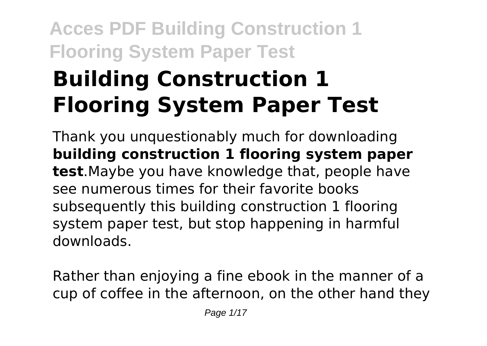# **Acces PDF Building Construction 1 Flooring System Paper Test Building Construction 1 Flooring System Paper Test**

Thank you unquestionably much for downloading **building construction 1 flooring system paper test**.Maybe you have knowledge that, people have see numerous times for their favorite books subsequently this building construction 1 flooring system paper test, but stop happening in harmful downloads.

Rather than enjoying a fine ebook in the manner of a cup of coffee in the afternoon, on the other hand they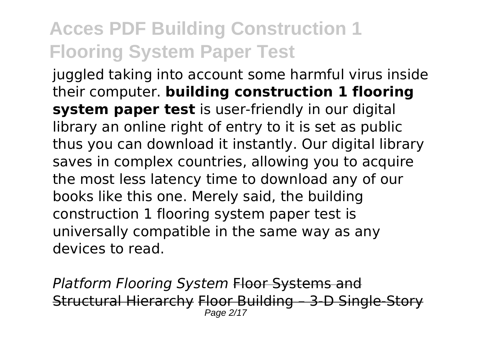juggled taking into account some harmful virus inside their computer. **building construction 1 flooring system paper test** is user-friendly in our digital library an online right of entry to it is set as public thus you can download it instantly. Our digital library saves in complex countries, allowing you to acquire the most less latency time to download any of our books like this one. Merely said, the building construction 1 flooring system paper test is universally compatible in the same way as any devices to read.

**Platform Flooring System Floor Systems and** Structural Hierarchy Floor Building – 3-D Single-Story Page 2/17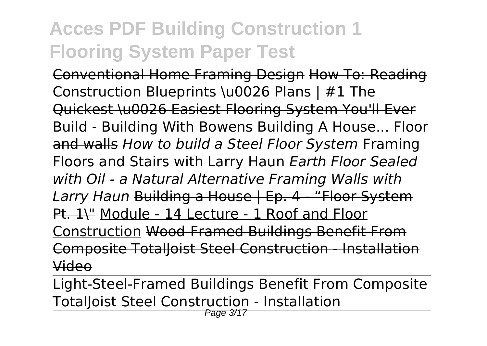Conventional Home Framing Design How To: Reading Construction Blueprints \u0026 Plans | #1 The Quickest \u0026 Easiest Flooring System You'll Ever Build - Building With Bowens Building A House... Floor and walls *How to build a Steel Floor System* Framing Floors and Stairs with Larry Haun *Earth Floor Sealed with Oil - a Natural Alternative Framing Walls with Larry Haun* Building a House | Ep. 4 - "Floor System Pt. 1\" Module - 14 Lecture - 1 Roof and Floor Construction Wood-Framed Buildings Benefit From Composite TotalJoist Steel Construction - Installation Video

Light-Steel-Framed Buildings Benefit From Composite TotalJoist Steel Construction - Installation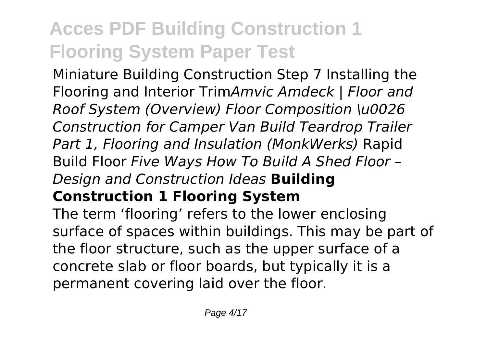Miniature Building Construction Step 7 Installing the Flooring and Interior Trim*Amvic Amdeck | Floor and Roof System (Overview) Floor Composition \u0026 Construction for Camper Van Build Teardrop Trailer Part 1, Flooring and Insulation (MonkWerks)* Rapid Build Floor *Five Ways How To Build A Shed Floor – Design and Construction Ideas* **Building Construction 1 Flooring System**

The term 'flooring' refers to the lower enclosing surface of spaces within buildings. This may be part of the floor structure, such as the upper surface of a concrete slab or floor boards, but typically it is a permanent covering laid over the floor.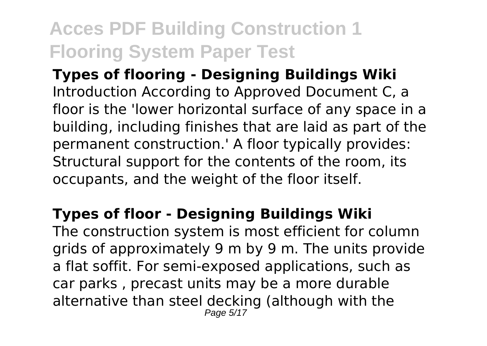**Types of flooring - Designing Buildings Wiki** Introduction According to Approved Document C, a floor is the 'lower horizontal surface of any space in a building, including finishes that are laid as part of the permanent construction.' A floor typically provides: Structural support for the contents of the room, its occupants, and the weight of the floor itself.

#### **Types of floor - Designing Buildings Wiki**

The construction system is most efficient for column arids of approximately 9 m by 9 m. The units provide a flat soffit. For semi-exposed applications, such as car parks , precast units may be a more durable alternative than steel decking (although with the Page 5/17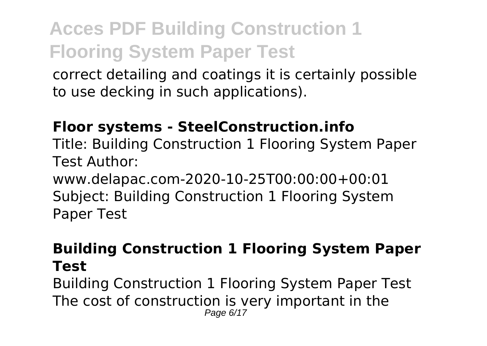correct detailing and coatings it is certainly possible to use decking in such applications).

#### **Floor systems - SteelConstruction.info**

Title: Building Construction 1 Flooring System Paper Test Author:

www.delapac.com-2020-10-25T00:00:00+00:01 Subject: Building Construction 1 Flooring System Paper Test

#### **Building Construction 1 Flooring System Paper Test**

Building Construction 1 Flooring System Paper Test The cost of construction is very important in the Page 6/17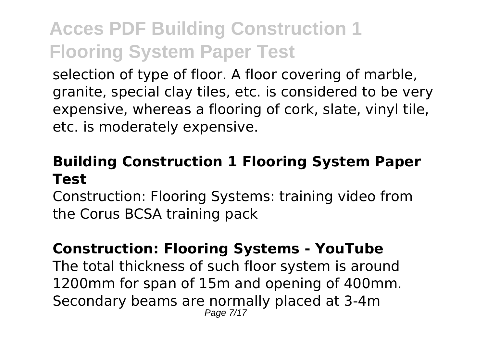selection of type of floor. A floor covering of marble, granite, special clay tiles, etc. is considered to be very expensive, whereas a flooring of cork, slate, vinyl tile, etc. is moderately expensive.

#### **Building Construction 1 Flooring System Paper Test**

Construction: Flooring Systems: training video from the Corus BCSA training pack

#### **Construction: Flooring Systems - YouTube**

The total thickness of such floor system is around 1200mm for span of 15m and opening of 400mm. Secondary beams are normally placed at 3-4m Page 7/17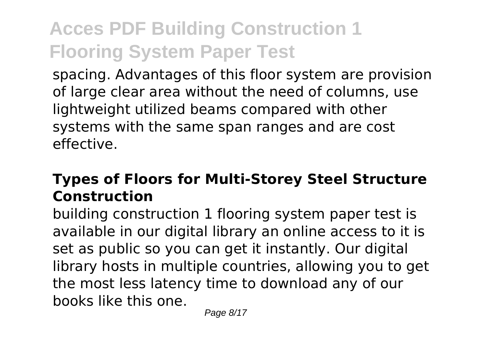spacing. Advantages of this floor system are provision of large clear area without the need of columns, use lightweight utilized beams compared with other systems with the same span ranges and are cost effective.

### **Types of Floors for Multi-Storey Steel Structure Construction**

building construction 1 flooring system paper test is available in our digital library an online access to it is set as public so you can get it instantly. Our digital library hosts in multiple countries, allowing you to get the most less latency time to download any of our books like this one.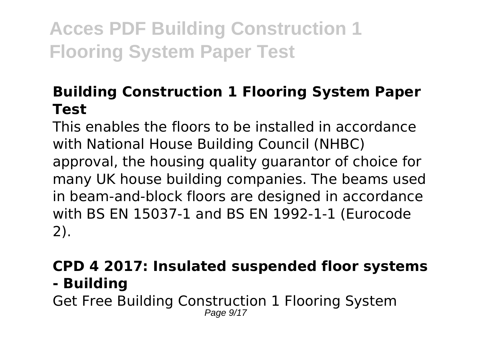### **Building Construction 1 Flooring System Paper Test**

This enables the floors to be installed in accordance with National House Building Council (NHBC) approval, the housing quality guarantor of choice for many UK house building companies. The beams used in beam-and-block floors are designed in accordance with BS EN 15037-1 and BS EN 1992‐1-1 (Eurocode 2).

#### **CPD 4 2017: Insulated suspended floor systems - Building**

Get Free Building Construction 1 Flooring System Page  $9/17$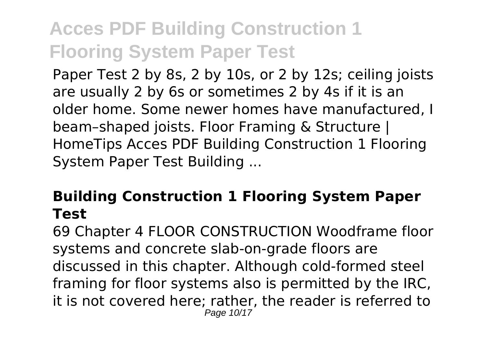Paper Test 2 by 8s, 2 by 10s, or 2 by 12s; ceiling joists are usually 2 by 6s or sometimes 2 by 4s if it is an older home. Some newer homes have manufactured, I beam–shaped joists. Floor Framing & Structure | HomeTips Acces PDF Building Construction 1 Flooring System Paper Test Building ...

#### **Building Construction 1 Flooring System Paper Test**

69 Chapter 4 FLOOR CONSTRUCTION Woodframe floor systems and concrete slab-on-grade floors are discussed in this chapter. Although cold-formed steel framing for floor systems also is permitted by the IRC, it is not covered here; rather, the reader is referred to Page 10/17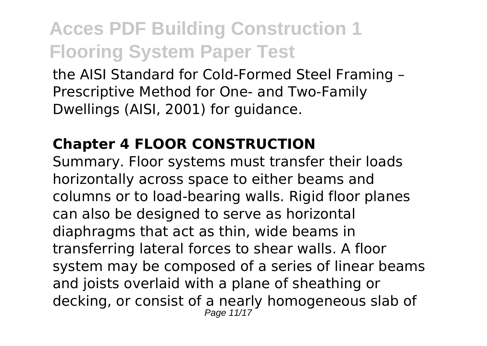the AISI Standard for Cold-Formed Steel Framing – Prescriptive Method for One- and Two-Family Dwellings (AISI, 2001) for guidance.

### **Chapter 4 FLOOR CONSTRUCTION**

Summary. Floor systems must transfer their loads horizontally across space to either beams and columns or to load‐bearing walls. Rigid floor planes can also be designed to serve as horizontal diaphragms that act as thin, wide beams in transferring lateral forces to shear walls. A floor system may be composed of a series of linear beams and joists overlaid with a plane of sheathing or decking, or consist of a nearly homogeneous slab of Page 11/17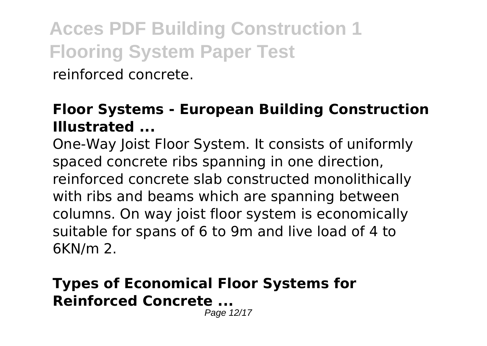reinforced concrete.

#### **Floor Systems - European Building Construction Illustrated ...**

One-Way Joist Floor System. It consists of uniformly spaced concrete ribs spanning in one direction, reinforced concrete slab constructed monolithically with ribs and beams which are spanning between columns. On way joist floor system is economically suitable for spans of 6 to 9m and live load of 4 to 6KN/m 2.

#### **Types of Economical Floor Systems for Reinforced Concrete ...**

Page 12/17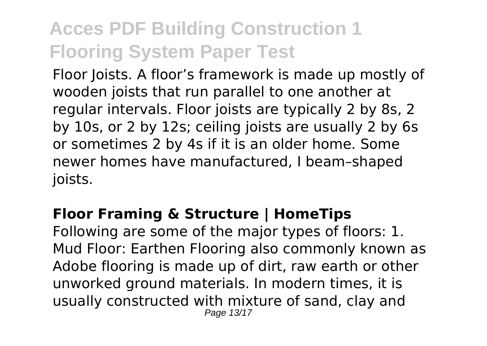Floor Joists. A floor's framework is made up mostly of wooden joists that run parallel to one another at regular intervals. Floor joists are typically 2 by 8s, 2 by 10s, or 2 by 12s; ceiling joists are usually 2 by 6s or sometimes 2 by 4s if it is an older home. Some newer homes have manufactured, I beam–shaped joists.

#### **Floor Framing & Structure | HomeTips**

Following are some of the major types of floors: 1. Mud Floor: Earthen Flooring also commonly known as Adobe flooring is made up of dirt, raw earth or other unworked ground materials. In modern times, it is usually constructed with mixture of sand, clay and Page 13/17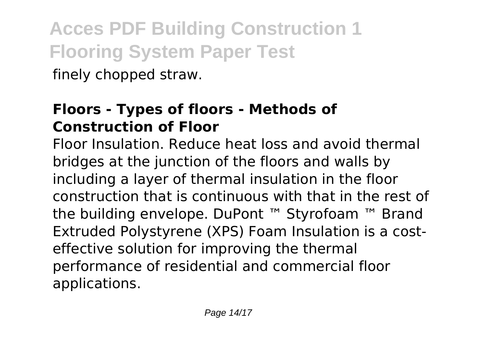finely chopped straw.

### **Floors - Types of floors - Methods of Construction of Floor**

Floor Insulation. Reduce heat loss and avoid thermal bridges at the junction of the floors and walls by including a layer of thermal insulation in the floor construction that is continuous with that in the rest of the building envelope. DuPont ™ Styrofoam ™ Brand Extruded Polystyrene (XPS) Foam Insulation is a costeffective solution for improving the thermal performance of residential and commercial floor applications.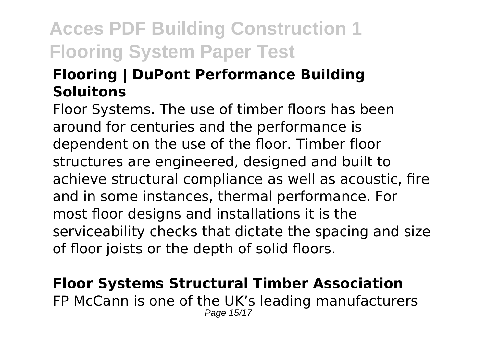### **Flooring | DuPont Performance Building Soluitons**

Floor Systems. The use of timber floors has been around for centuries and the performance is dependent on the use of the floor. Timber floor structures are engineered, designed and built to achieve structural compliance as well as acoustic, fire and in some instances, thermal performance. For most floor designs and installations it is the serviceability checks that dictate the spacing and size of floor joists or the depth of solid floors.

**Floor Systems Structural Timber Association** FP McCann is one of the UK's leading manufacturers Page 15/17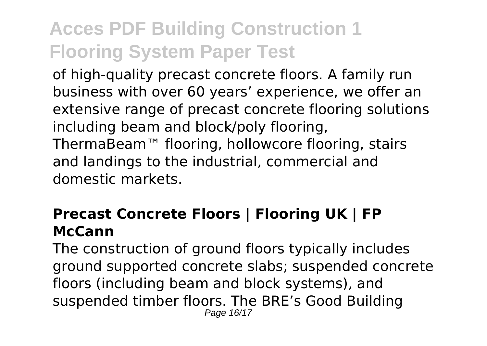of high-quality precast concrete floors. A family run business with over 60 years' experience, we offer an extensive range of precast concrete flooring solutions including beam and block/poly flooring, ThermaBeam™ flooring, hollowcore flooring, stairs and landings to the industrial, commercial and domestic markets.

#### **Precast Concrete Floors | Flooring UK | FP McCann**

The construction of ground floors typically includes ground supported concrete slabs; suspended concrete floors (including beam and block systems), and suspended timber floors. The BRE's Good Building Page 16/17